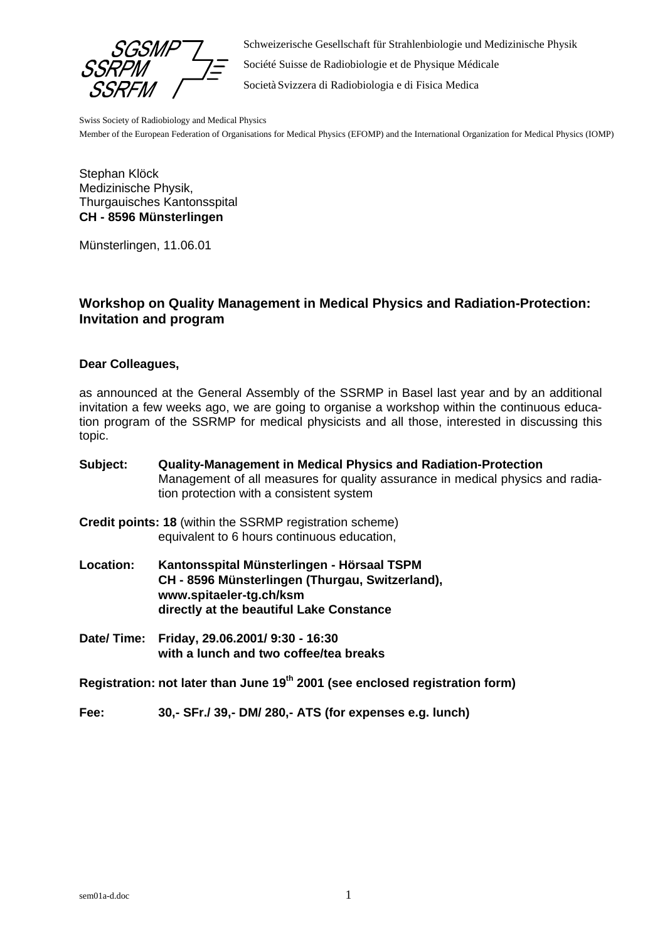SSR SS

Schweizerische Gesellschaft für Strahlenbiologie und Medizinische Physik

Société Suisse de Radiobiologie et de Physique Médicale

Società Svizzera di Radiobiologia e di Fisica Medica

Swiss Society of Radiobiology and Medical Physics

Member of the European Federation of Organisations for Medical Physics (EFOMP) and the International Organization for Medical Physics (IOMP)

Stephan Klöck Medizinische Physik, Thurgauisches Kantonsspital **CH - 8596 Münsterlingen**

Münsterlingen, 11.06.01

### **Workshop on Quality Management in Medical Physics and Radiation-Protection: Invitation and program**

#### **Dear Colleagues,**

as announced at the General Assembly of the SSRMP in Basel last year and by an additional invitation a few weeks ago, we are going to organise a workshop within the continuous education program of the SSRMP for medical physicists and all those, interested in discussing this topic.

| Subject:         | <b>Quality-Management in Medical Physics and Radiation-Protection</b><br>Management of all measures for quality assurance in medical physics and radia-<br>tion protection with a consistent system |
|------------------|-----------------------------------------------------------------------------------------------------------------------------------------------------------------------------------------------------|
|                  | Credit points: 18 (within the SSRMP registration scheme)<br>equivalent to 6 hours continuous education,                                                                                             |
| <b>Location:</b> | Kantonsspital Münsterlingen - Hörsaal TSPM<br>CH - 8596 Münsterlingen (Thurgau, Switzerland),<br>www.spitaeler-tg.ch/ksm<br>directly at the beautiful Lake Constance                                |
|                  | Date/ Time: Friday, 29.06.2001/ 9:30 - 16:30<br>with a lunch and two coffee/tea breaks                                                                                                              |
|                  | Registration: not later than June 19 <sup>th</sup> 2001 (see enclosed registration form)                                                                                                            |
| Fee:             | 30 .- SFr./ 39 .- DM/ 280 .- ATS (for expenses e.g. lunch)                                                                                                                                          |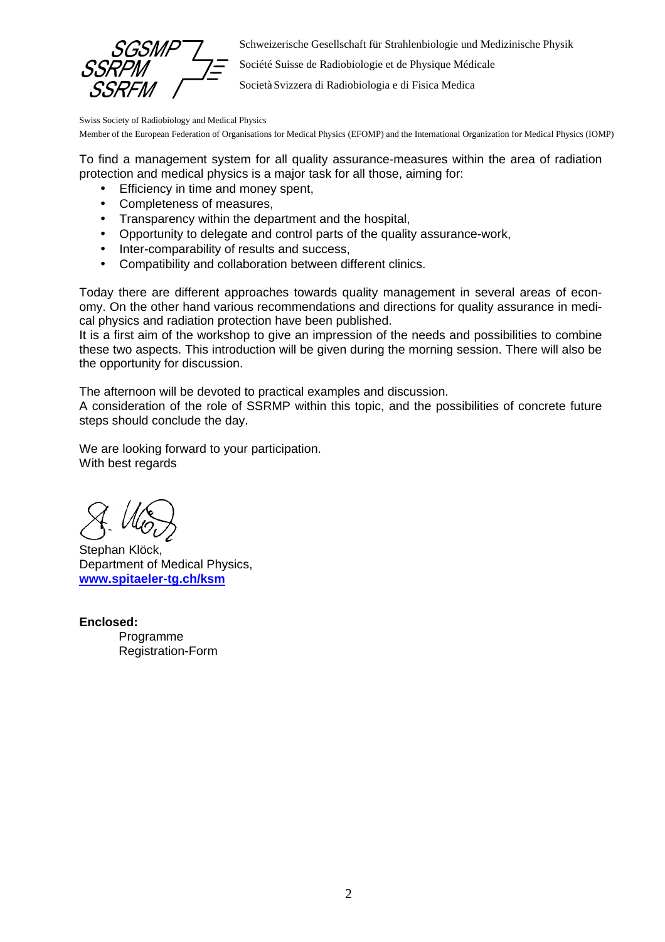Schweizerische Gesellschaft für Strahlenbiologie und Medizinische Physik

Société Suisse de Radiobiologie et de Physique Médicale

Società Svizzera di Radiobiologia e di Fisica Medica

Swiss Society of Radiobiology and Medical Physics

Member of the European Federation of Organisations for Medical Physics (EFOMP) and the International Organization for Medical Physics (IOMP)

To find a management system for all quality assurance-measures within the area of radiation protection and medical physics is a major task for all those, aiming for:

- Efficiency in time and money spent,
- Completeness of measures,
- Transparency within the department and the hospital,
- Opportunity to delegate and control parts of the quality assurance-work,
- Inter-comparability of results and success,
- Compatibility and collaboration between different clinics.

Today there are different approaches towards quality management in several areas of economy. On the other hand various recommendations and directions for quality assurance in medical physics and radiation protection have been published.

It is a first aim of the workshop to give an impression of the needs and possibilities to combine these two aspects. This introduction will be given during the morning session. There will also be the opportunity for discussion.

The afternoon will be devoted to practical examples and discussion.

A consideration of the role of SSRMP within this topic, and the possibilities of concrete future steps should conclude the day.

We are looking forward to your participation. With best regards

Stephan Klöck, Department of Medical Physics, **www.spitaeler-tg.ch/ksm**

**Enclosed:** Programme Registration-Form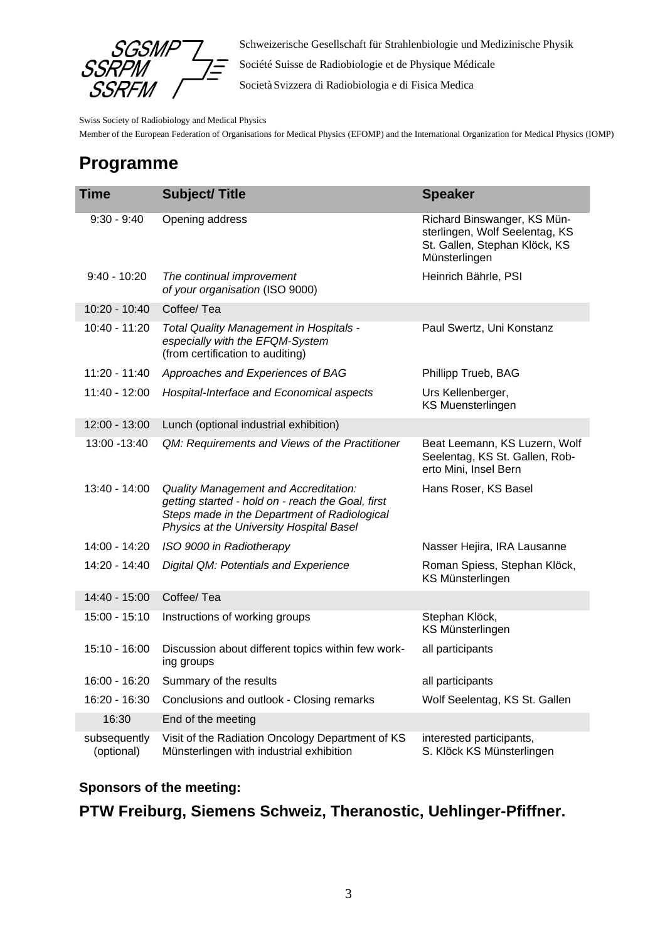

Schweizerische Gesellschaft für Strahlenbiologie und Medizinische Physik

Société Suisse de Radiobiologie et de Physique Médicale

Società Svizzera di Radiobiologia e di Fisica Medica

Swiss Society of Radiobiology and Medical Physics

Member of the European Federation of Organisations for Medical Physics (EFOMP) and the International Organization for Medical Physics (IOMP)

## **Programme**

| <b>Time</b>                | <b>Subject/Title</b>                                                                                                                                                                   | <b>Speaker</b>                                                                                                  |
|----------------------------|----------------------------------------------------------------------------------------------------------------------------------------------------------------------------------------|-----------------------------------------------------------------------------------------------------------------|
| $9:30 - 9:40$              | Opening address                                                                                                                                                                        | Richard Binswanger, KS Mün-<br>sterlingen, Wolf Seelentag, KS<br>St. Gallen, Stephan Klöck, KS<br>Münsterlingen |
| $9:40 - 10:20$             | The continual improvement<br>of your organisation (ISO 9000)                                                                                                                           | Heinrich Bährle, PSI                                                                                            |
| 10:20 - 10:40              | Coffee/Tea                                                                                                                                                                             |                                                                                                                 |
| 10:40 - 11:20              | Total Quality Management in Hospitals -<br>especially with the EFQM-System<br>(from certification to auditing)                                                                         | Paul Swertz, Uni Konstanz                                                                                       |
| 11:20 - 11:40              | Approaches and Experiences of BAG                                                                                                                                                      | Phillipp Trueb, BAG                                                                                             |
| 11:40 - 12:00              | Hospital-Interface and Economical aspects                                                                                                                                              | Urs Kellenberger,<br><b>KS Muensterlingen</b>                                                                   |
| 12:00 - 13:00              | Lunch (optional industrial exhibition)                                                                                                                                                 |                                                                                                                 |
| 13:00 - 13:40              | QM: Requirements and Views of the Practitioner                                                                                                                                         | Beat Leemann, KS Luzern, Wolf<br>Seelentag, KS St. Gallen, Rob-<br>erto Mini, Insel Bern                        |
| 13:40 - 14:00              | Quality Management and Accreditation:<br>getting started - hold on - reach the Goal, first<br>Steps made in the Department of Radiological<br>Physics at the University Hospital Basel | Hans Roser, KS Basel                                                                                            |
| 14:00 - 14:20              | ISO 9000 in Radiotherapy                                                                                                                                                               | Nasser Hejira, IRA Lausanne                                                                                     |
| 14:20 - 14:40              | Digital QM: Potentials and Experience                                                                                                                                                  | Roman Spiess, Stephan Klöck,<br>KS Münsterlingen                                                                |
| 14:40 - 15:00              | Coffee/ Tea                                                                                                                                                                            |                                                                                                                 |
| 15:00 - 15:10              | Instructions of working groups                                                                                                                                                         | Stephan Klöck,<br>KS Münsterlingen                                                                              |
| 15:10 - 16:00              | Discussion about different topics within few work-<br>ing groups                                                                                                                       | all participants                                                                                                |
| 16:00 - 16:20              | Summary of the results                                                                                                                                                                 | all participants                                                                                                |
| 16:20 - 16:30              | Conclusions and outlook - Closing remarks                                                                                                                                              | Wolf Seelentag, KS St. Gallen                                                                                   |
| 16:30                      | End of the meeting                                                                                                                                                                     |                                                                                                                 |
| subsequently<br>(optional) | Visit of the Radiation Oncology Department of KS<br>Münsterlingen with industrial exhibition                                                                                           | interested participants,<br>S. Klöck KS Münsterlingen                                                           |

### **Sponsors of the meeting:**

### **PTW Freiburg, Siemens Schweiz, Theranostic, Uehlinger-Pfiffner.**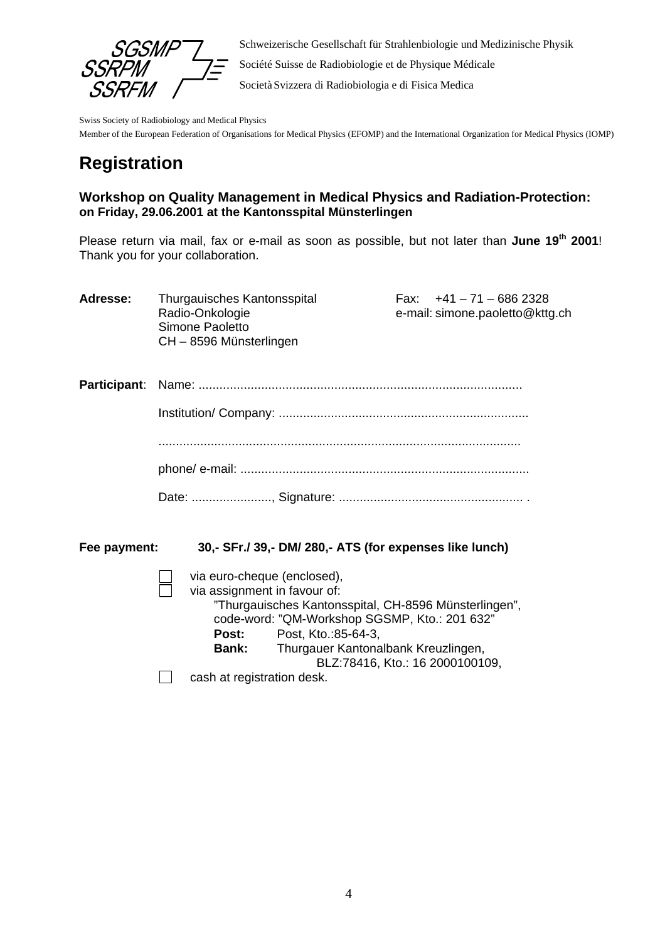

Schweizerische Gesellschaft für Strahlenbiologie und Medizinische Physik Société Suisse de Radiobiologie et de Physique Médicale Società Svizzera di Radiobiologia e di Fisica Medica

Swiss Society of Radiobiology and Medical Physics

Member of the European Federation of Organisations for Medical Physics (EFOMP) and the International Organization for Medical Physics (IOMP)

# **Registration**

### **Workshop on Quality Management in Medical Physics and Radiation-Protection: on Friday, 29.06.2001 at the Kantonsspital Münsterlingen**

Please return via mail, fax or e-mail as soon as possible, but not later than **June 19th 2001**! Thank you for your collaboration.

| Adresse: | Thurgauisches Kantonsspital<br>Radio-Onkologie<br>Simone Paoletto<br>CH-8596 Münsterlingen | Fax: $+41 - 71 - 6862328$<br>e-mail: simone.paoletto@kttg.ch |
|----------|--------------------------------------------------------------------------------------------|--------------------------------------------------------------|
|          |                                                                                            |                                                              |

**Fee payment: 30,- SFr./ 39,- DM/ 280,- ATS (for expenses like lunch)**

via euro-cheque (enclosed),

 $\Box$ 

via assignment in favour of: "Thurgauisches Kantonsspital, CH-8596 Münsterlingen", code-word: "QM-Workshop SGSMP, Kto.: 201 632" **Post:** Post, Kto.:85-64-3, **Bank:** Thurgauer Kantonalbank Kreuzlingen, BLZ:78416, Kto.: 16 2000100109, cash at registration desk.